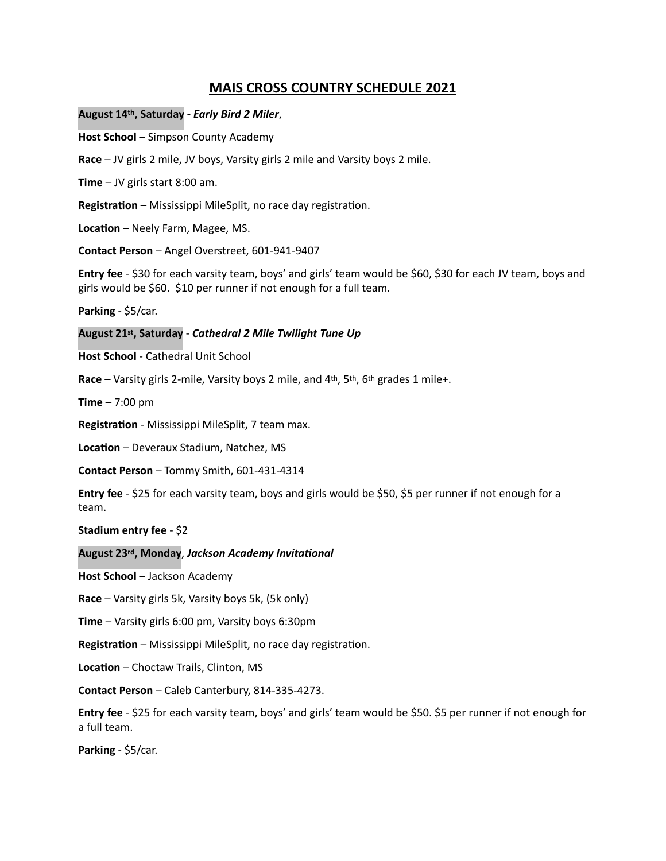# **MAIS CROSS COUNTRY SCHEDULE 2021**

August 14<sup>th</sup>, Saturday - Early Bird 2 Miler,

**Host School** – Simpson County Academy

**Race** – JV girls 2 mile, JV boys, Varsity girls 2 mile and Varsity boys 2 mile.

**Time** – JV girls start  $8:00$  am.

**Registration** – Mississippi MileSplit, no race day registration.

**Location** – Neely Farm, Magee, MS.

**Contact Person** – Angel Overstreet, 601-941-9407

**Entry fee** - \$30 for each varsity team, boys' and girls' team would be \$60, \$30 for each JV team, boys and girls would be \$60. \$10 per runner if not enough for a full team.

Parking - \$5/car.

August 21<sup>st</sup>, Saturday - Cathedral 2 Mile Twilight Tune Up

**Host School** - Cathedral Unit School

**Race** – Varsity girls 2-mile, Varsity boys 2 mile, and 4<sup>th</sup>, 5<sup>th</sup>, 6<sup>th</sup> grades 1 mile+.

**Time**  $- 7:00$  pm

**Registration** - Mississippi MileSplit, 7 team max.

**Location** – Deveraux Stadium, Natchez, MS

**Contact Person** – Tommy Smith, 601-431-4314

**Entry fee** - \$25 for each varsity team, boys and girls would be \$50, \$5 per runner if not enough for a team.

**Stadium entry fee** - \$2

# **August 23rd, Monday**, *Jackson Academy Invitational*

**Host School** – Jackson Academy

**Race** – Varsity girls 5k, Varsity boys 5k, (5k only)

**Time** – Varsity girls 6:00 pm, Varsity boys 6:30pm

**Registration** – Mississippi MileSplit, no race day registration.

**Location** – Choctaw Trails, Clinton, MS

**Contact Person** – Caleb Canterbury, 814-335-4273.

**Entry fee** - \$25 for each varsity team, boys' and girls' team would be \$50. \$5 per runner if not enough for a full team.

**Parking** - \$5/car.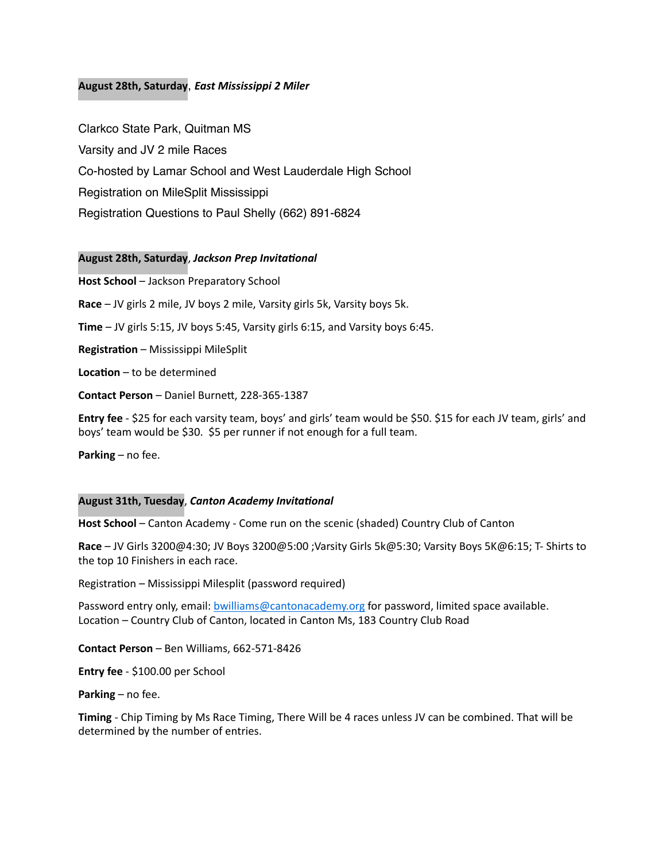# **August 28th, Saturday**, *East Mississippi 2 Miler*

Clarkco State Park, Quitman MS Varsity and JV 2 mile Races Co-hosted by Lamar School and West Lauderdale High School Registration on MileSplit Mississippi Registration Questions to Paul Shelly (662) 891-6824

# **August 28th, Saturday**, *Jackson Prep Invitational*

**Host School** – Jackson Preparatory School

**Race** – JV girls 2 mile, JV boys 2 mile, Varsity girls 5k, Varsity boys 5k.

**Time** – JV girls 5:15, JV boys 5:45, Varsity girls 6:15, and Varsity boys 6:45.

**Registration** – Mississippi MileSplit

**Location** – to be determined

**Contact Person** – Daniel Burnett, 228-365-1387

**Entry fee** - \$25 for each varsity team, boys' and girls' team would be \$50. \$15 for each JV team, girls' and boys' team would be \$30. \$5 per runner if not enough for a full team.

**Parking** – no fee.

## **August 31th, Tuesday**, *Canton Academy Invitational*

**Host School** – Canton Academy - Come run on the scenic (shaded) Country Club of Canton

**Race** – JV Girls 3200@4:30; JV Boys 3200@5:00 ;Varsity Girls 5k@5:30; Varsity Boys 5K@6:15; T- Shirts to the top 10 Finishers in each race.

Registration – Mississippi Milesplit (password required)

Password entry only, email: **bwilliams@cantonacademy.org** for password, limited space available. Location - Country Club of Canton, located in Canton Ms, 183 Country Club Road

**Contact Person** – Ben Williams, 662-571-8426

**Entry fee** - \$100.00 per School

**Parking** – no fee.

**Timing** - Chip Timing by Ms Race Timing, There Will be 4 races unless JV can be combined. That will be determined by the number of entries.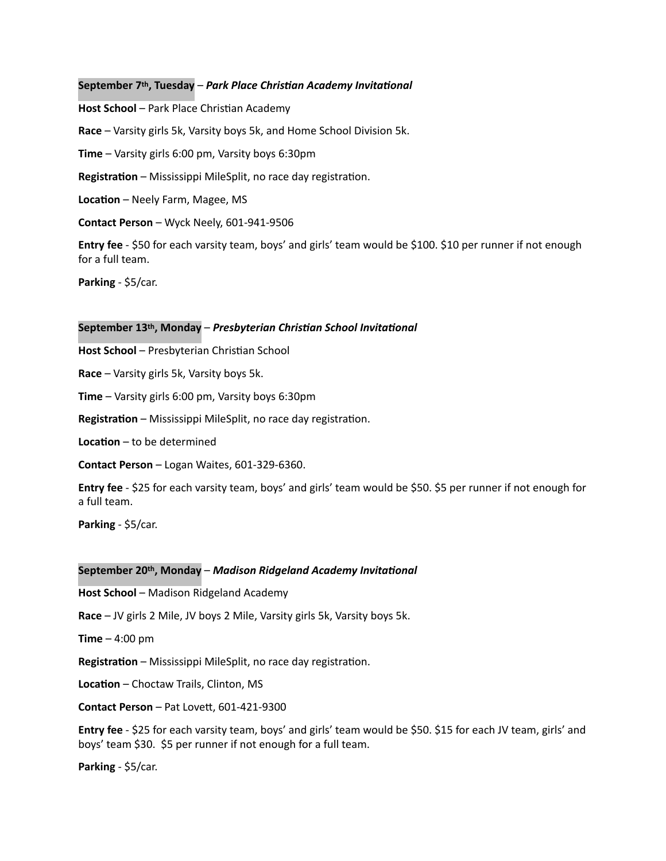## September 7<sup>th</sup>, Tuesday – *Park Place Christian Academy Invitational*

**Host School** – Park Place Christian Academy

**Race** – Varsity girls 5k, Varsity boys 5k, and Home School Division 5k.

**Time** – Varsity girls 6:00 pm, Varsity boys 6:30pm

**Registration** – Mississippi MileSplit, no race day registration.

**Location** – Neely Farm, Magee, MS

**Contact Person** – Wyck Neely, 601-941-9506

**Entry fee** - \$50 for each varsity team, boys' and girls' team would be \$100. \$10 per runner if not enough for a full team.

**Parking** - \$5/car.

## September 13<sup>th</sup>, Monday – Presbyterian Christian School Invitational

**Host School** – Presbyterian Christian School

**Race** – Varsity girls 5k, Varsity boys 5k.

**Time** – Varsity girls 6:00 pm, Varsity boys 6:30pm

**Registration** – Mississippi MileSplit, no race day registration.

**Location** – to be determined

**Contact Person** - Logan Waites, 601-329-6360.

**Entry fee** - \$25 for each varsity team, boys' and girls' team would be \$50. \$5 per runner if not enough for a full team.

Parking - \$5/car.

## September 20<sup>th</sup>, Monday – *Madison Ridgeland Academy Invitational*

**Host School** – Madison Ridgeland Academy

**Race** – JV girls 2 Mile, JV boys 2 Mile, Varsity girls 5k, Varsity boys 5k.

**Time**  $-$  4:00 pm

**Registration** – Mississippi MileSplit, no race day registration.

**Location** – Choctaw Trails, Clinton, MS

**Contact Person** – Pat Lovett, 601-421-9300

**Entry fee** - \$25 for each varsity team, boys' and girls' team would be \$50. \$15 for each JV team, girls' and boys' team \$30. \$5 per runner if not enough for a full team.

Parking - \$5/car.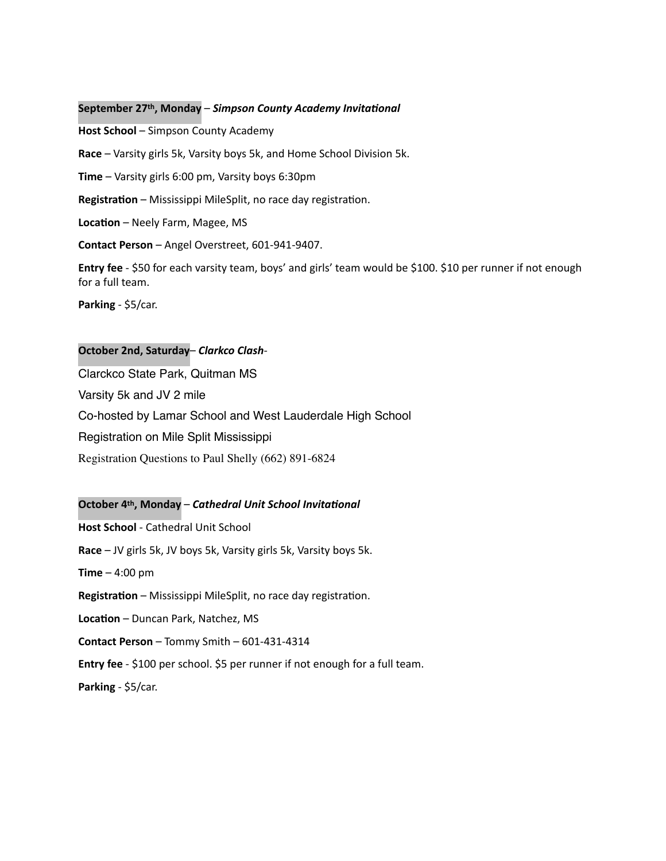#### September 27<sup>th</sup>, Monday – Simpson County Academy Invitational

**Host School** – Simpson County Academy **Race** – Varsity girls 5k, Varsity boys 5k, and Home School Division 5k. **Time** – Varsity girls 6:00 pm, Varsity boys 6:30pm **Registration** – Mississippi MileSplit, no race day registration. **Location** – Neely Farm, Magee, MS **Contact Person** – Angel Overstreet, 601-941-9407.

**Entry fee** - \$50 for each varsity team, boys' and girls' team would be \$100. \$10 per runner if not enough for a full team.

**Parking** - \$5/car.

#### **October 2nd, Saturday**– *Clarkco Clash*-

Clarckco State Park, Quitman MS Varsity 5k and JV 2 mile Co-hosted by Lamar School and West Lauderdale High School Registration on Mile Split Mississippi Registration Questions to Paul Shelly (662) 891-6824

#### **October 4th, Monday – Cathedral Unit School Invitational**

**Host School** - Cathedral Unit School **Race** – JV girls 5k, JV boys 5k, Varsity girls 5k, Varsity boys 5k. **Time**  $-$  4:00 pm **Registration** – Mississippi MileSplit, no race day registration. **Location** – Duncan Park, Natchez, MS **Contact Person** – Tommy Smith – 601-431-4314 **Entry fee** - \$100 per school. \$5 per runner if not enough for a full team. Parking - \$5/car.